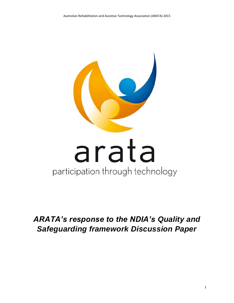

# *ARATA's response to the NDIA's Quality and Safeguarding framework Discussion Paper*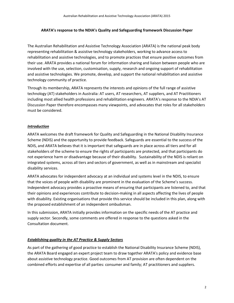#### **ARATA's response to the NDIA's Quality and Safeguarding framework Discussion Paper**

The Australian Rehabilitation and Assistive Technology Association (ARATA) is the national peak body representing rehabilitation & assistive technology stakeholders, working to advance access to rehabilitation and assistive technologies, and to promote practices that ensure positive outcomes from their use. ARATA provides a national forum for information sharing and liaison between people who are involved with the use, selection, customisation, supply, research and ongoing support of rehabilitation and assistive technologies. We promote, develop, and support the national rehabilitation and assistive technology community of practice.

Through its membership, ARATA represents the interests and opinions of the full range of assistive technology (AT) stakeholders in Australia: AT users, AT researchers, AT suppliers, and AT Practitioners including most allied health professions and rehabilitation engineers. ARATA's response to the NDIA's AT Discussion Paper therefore encompasses many viewpoints, and advocates that roles for all stakeholders must be considered.

### *Introduction*

ARATA welcomes the draft framework for Quality and Safeguarding in the National Disability Insurance Scheme (NDIS) and the opportunity to provide feedback. Safeguards are essential to the success of the NDIS, and ARATA believes that it is important that safeguards are in place across all tiers and for all stakeholders of the scheme to ensure the rights of participants are protected, and that participants do not experience harm or disadvantage because of their disability. Sustainability of the NDIS is reliant on integrated systems, across all tiers and sectors of government, as well as in mainstream and specialist disability services.

ARATA advocates for independent advocacy at an individual and systems level in the NDIS, to ensure that the voices of people with disability are prominent in the evaluation of the Scheme's success. Independent advocacy provides a proactive means of ensuring that participants are listened to, and that their opinions and experiences contribute to decision-making in all aspects affecting the lives of people with disability. Existing organisations that provide this service should be included in this plan, along with the proposed establishment of an independent ombudsman.

In this submission, ARATA initially provides information on the specific needs of the AT practice and supply sector. Secondly, some comments are offered in response to the questions asked in the Consultation document.

#### *Establishing quality in the AT Practice & Supply Sectors*

As part of the gathering of good practice to establish the National Disability Insurance Scheme (NDIS), the ARATA Board engaged an expert project team to draw together ARATA's policy and evidence base about assistive technology practice. Good outcomes from AT provision are often dependent on the combined efforts and expertise of all parties: consumer and family; AT practitioners and suppliers.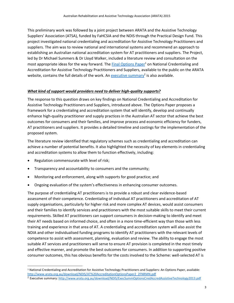This preliminary work was followed by a joint project between ARATA and the Assistive Technology Suppliers' Association (ATSA), funded by FaHCSIA and the NDIS through the Practical Design Fund. This project investigated national credentialing and accreditation for Assistive Technology Practitioners and suppliers. The aim was to review national and international systems and recommend an approach to establishing an Australian national accreditation system for AT practitioners and suppliers. The Project, led by Dr Michael Summers & Dr Lloyd Walker, included a literature review and consultation on the most appropriate ideas for the way forward. The [Final Options Paper](http://www.arata.org.au/download/NDIS/AT%20AccreditationOptionsPaper2_2FNRMN.pdf)<sup>1</sup> on National Credentialing and Accreditation for Assistive Technology Practitioners and Suppliers, available to the public on the ARATA website, contains the full details of the work. An **executive summary<sup>2</sup> is also available**.

#### *What kind of support would providers need to deliver high-quality supports?*

The response to this question draws on key findings on National Credentialing and Accreditation for Assistive Technology Practitioners and Suppliers, introduced above. The Options Paper proposes a framework for a credentialing and accreditation system that will identify, develop and continually enhance high-quality practitioner and supply practices in the Australian AT sector that achieve the best outcomes for consumers and their families, and improve process and economic efficiency for funders, AT practitioners and suppliers. It provides a detailed timeline and costings for the implementation of the proposed system.

The literature review identified that regulatory schemes such as credentialing and accreditation can achieve a number of potential benefits. It also highlighted the necessity of key elements in credentialing and accreditation systems to allow them to function effectively, including:

Regulation commensurate with level of risk;

- Transparency and accountability to consumers and the community;
- Monitoring and enforcement, along with supports for good practice; and
- Ongoing evaluation of the system's effectiveness in enhancing consumer outcomes.

The purpose of credentialing AT practitioners is to provide a robust and clear evidence-based assessment of their competence. Credentialing of individual AT practitioners and accreditation of AT supply organisations, particularly for higher risk and more complex AT devices, would assist consumers and their families to identify services and practitioners with the most suitable skills to meet their current requirements. Skilled AT practitioners can support consumers in decision-making to identify and meet their AT needs based on informed choice, and often in a more time-efficient way than those with less training and experience in that area of AT. A credentialing and accreditation system will also assist the NDIA and other individualised funding programs to identify AT practitioners with the relevant levels of competence to assist with assessment, planning, evaluation and review. The ability to engage the most suitable AT services and practitioners will serve to ensure AT provision is completed in the most timely and effective manner, and promote the best outcomes for consumers. In addition to supporting positive consumer outcomes, this has obvious benefits for the costs involved to the Scheme: well-selected AT is

<sup>1</sup> National Credentialing and Accreditation for Assistive Technology Practitioners and Suppliers: An Options Paper, available: [http://www.arata.org.au/download/NDIS/AT%20AccreditationOptionsPaper2\\_2FNRMN.pdf](http://www.arata.org.au/download/NDIS/AT%20AccreditationOptionsPaper2_2FNRMN.pdf)

<sup>2</sup> Executive summary[: http://www.arata.org.au/download/NDIS/ExecSummOptionsCredAccredAssistiveTechnology2013.pdf](http://www.arata.org.au/download/NDIS/ExecSummOptionsCredAccredAssistiveTechnology2013.pdf)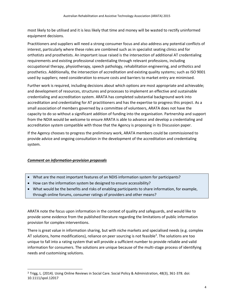most likely to be utilised and it is less likely that time and money will be wasted to rectify uninformed equipment decisions.

Practitioners and suppliers will need a strong consumer focus and also address any potential conflicts of interest, particularly where these roles are combined such as in specialist seating clinics and for orthotists and prosthetists. An important issue raised is the intersection of additional AT credentialing requirements and existing professional credentialing through relevant professions, including occupational therapy, physiotherapy, speech pathology, rehabilitation engineering, and orthotics and prosthetics. Additionally, the intersection of accreditation and existing quality systems; such as ISO 9001 used by suppliers; need consideration to ensure costs and barriers to market entry are minimised.

Further work is required, including decisions about which options are most appropriate and achievable; and development of resources, structures and processes to implement an effective and sustainable credentialing and accreditation system. ARATA has completed substantial background work into accreditation and credentialing for AT practitioners and has the expertise to progress this project. As a small association of members governed by a committee of volunteers, ARATA does not have the capacity to do so without a significant addition of funding into the organisation. Partnership and support from the NDIA would be welcome to ensure ARATA is able to advance and develop a credentialing and accreditation system compatible with those that the Agency is proposing in its Discussion paper.

If the Agency chooses to progress the preliminary work, ARATA members could be commissioned to provide advice and ongoing consultation in the development of the accreditation and credentialing system.

## *Comment on information-provision proposals*

 $\overline{a}$ 

- What are the most important features of an NDIS information system for participants?
- How can the information system be designed to ensure accessibility?
- What would be the benefits and risks of enabling participants to share information, for example, through online forums, consumer ratings of providers and other means?

ARATA note the focus upon information in the context of quality and safeguards, and would like to provide some evidence from the published literature regarding the limitations of public information provision for complex interventions.

There is great value in information sharing, but with niche markets and specialised needs (e.g. complex AT solutions, home modifications), reliance on peer sourcing is not feasible<sup>3</sup>. The solutions are too unique to fall into a rating system that will provide a sufficient number to provide reliable and valid information for consumers. The solutions are unique because of the multi-stage process of identifying needs and customising solutions.

<sup>3</sup> Trigg, L. (2014). Using Online Reviews in Social Care. Social Policy & Administration, 48(3), 361-378. doi: 10.1111/spol.12017